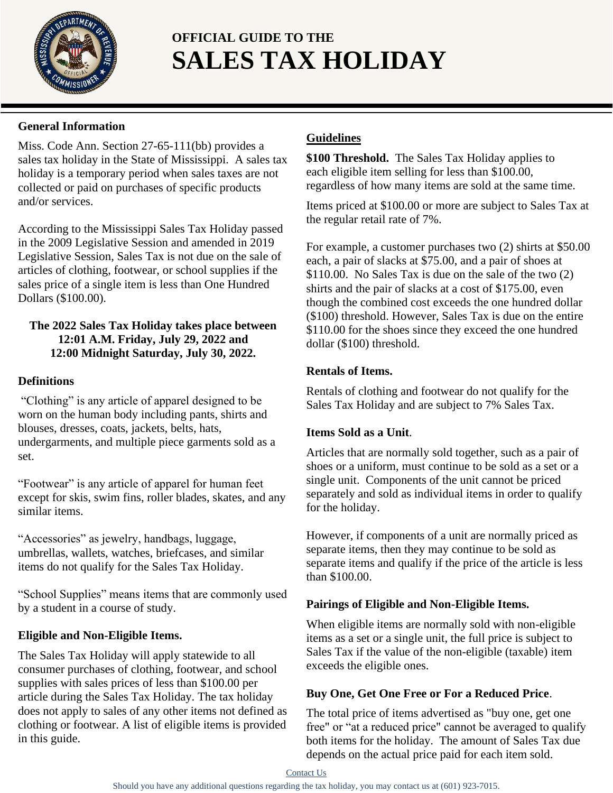

# **OFFICIAL GUIDE TO THE SALES TAX HOLIDAY**

## **General Information**

Miss. Code Ann. Section 27-65-111(bb) provides a sales tax holiday in the State of Mississippi. A sales tax holiday is a temporary period when sales taxes are not collected or paid on purchases of specific products and/or services.

According to the Mississippi Sales Tax Holiday passed in the 2009 Legislative Session and amended in 2019 Legislative Session, Sales Tax is not due on the sale of articles of clothing, footwear, or school supplies if the sales price of a single item is less than One Hundred Dollars (\$100.00).

## **The 2022 Sales Tax Holiday takes place between 12:01 A.M. Friday, July 29, 2022 and 12:00 Midnight Saturday, July 30, 2022.**

## **Definitions**

"Clothing" is any article of apparel designed to be worn on the human body including pants, shirts and blouses, dresses, coats, jackets, belts, hats, undergarments, and multiple piece garments sold as a set.

"Footwear" is any article of apparel for human feet except for skis, swim fins, roller blades, skates, and any similar items.

"Accessories" as jewelry, handbags, luggage, umbrellas, wallets, watches, briefcases, and similar items do not qualify for the Sales Tax Holiday.

"School Supplies" means items that are commonly used by a student in a course of study.

## **Eligible and Non-Eligible Items.**

The Sales Tax Holiday will apply statewide to all consumer purchases of clothing, footwear, and school supplies with sales prices of less than \$100.00 per article during the Sales Tax Holiday. The tax holiday does not apply to sales of any other items not defined as clothing or footwear. A list of eligible items is provided in this guide.

## **Guidelines**

**\$100 Threshold.** The Sales Tax Holiday applies to each eligible item selling for less than \$100.00, regardless of how many items are sold at the same time.

Items priced at \$100.00 or more are subject to Sales Tax at the regular retail rate of 7%.

For example, a customer purchases two (2) shirts at \$50.00 each, a pair of slacks at \$75.00, and a pair of shoes at \$110.00. No Sales Tax is due on the sale of the two  $(2)$ shirts and the pair of slacks at a cost of \$175.00, even though the combined cost exceeds the one hundred dollar (\$100) threshold. However, Sales Tax is due on the entire \$110.00 for the shoes since they exceed the one hundred dollar (\$100) threshold.

## **Rentals of Items.**

Rentals of clothing and footwear do not qualify for the Sales Tax Holiday and are subject to 7% Sales Tax.

## **Items Sold as a Unit**.

Articles that are normally sold together, such as a pair of shoes or a uniform, must continue to be sold as a set or a single unit. Components of the unit cannot be priced separately and sold as individual items in order to qualify for the holiday.

However, if components of a unit are normally priced as separate items, then they may continue to be sold as separate items and qualify if the price of the article is less than \$100.00.

## **Pairings of Eligible and Non-Eligible Items.**

When eligible items are normally sold with non-eligible items as a set or a single unit, the full price is subject to Sales Tax if the value of the non-eligible (taxable) item exceeds the eligible ones.

## **Buy One, Get One Free or For a Reduced Price**.

The total price of items advertised as "buy one, get one free" or "at a reduced price" cannot be averaged to qualify both items for the holiday. The amount of Sales Tax due depends on the actual price paid for each item sold.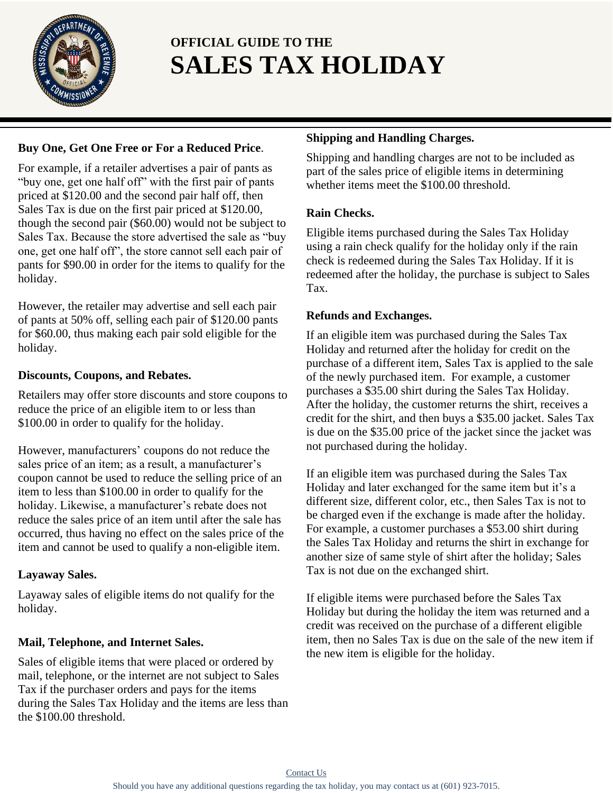

# **OFFICIAL GUIDE TO THE SALES TAX HOLIDAY**

## **Buy One, Get One Free or For a Reduced Price**.

For example, if a retailer advertises a pair of pants as "buy one, get one half off" with the first pair of pants priced at \$120.00 and the second pair half off, then Sales Tax is due on the first pair priced at \$120.00, though the second pair (\$60.00) would not be subject to Sales Tax. Because the store advertised the sale as "buy one, get one half off", the store cannot sell each pair of pants for \$90.00 in order for the items to qualify for the holiday.

However, the retailer may advertise and sell each pair of pants at 50% off, selling each pair of \$120.00 pants for \$60.00, thus making each pair sold eligible for the holiday.

## **Discounts, Coupons, and Rebates.**

Retailers may offer store discounts and store coupons to reduce the price of an eligible item to or less than \$100.00 in order to qualify for the holiday.

However, manufacturers' coupons do not reduce the sales price of an item; as a result, a manufacturer's coupon cannot be used to reduce the selling price of an item to less than \$100.00 in order to qualify for the holiday. Likewise, a manufacturer's rebate does not reduce the sales price of an item until after the sale has occurred, thus having no effect on the sales price of the item and cannot be used to qualify a non-eligible item.

## **Layaway Sales.**

Layaway sales of eligible items do not qualify for the holiday.

## **Mail, Telephone, and Internet Sales.**

Sales of eligible items that were placed or ordered by mail, telephone, or the internet are not subject to Sales Tax if the purchaser orders and pays for the items during the Sales Tax Holiday and the items are less than the \$100.00 threshold.

## **Shipping and Handling Charges.**

Shipping and handling charges are not to be included as part of the sales price of eligible items in determining whether items meet the \$100.00 threshold.

## **Rain Checks.**

Eligible items purchased during the Sales Tax Holiday using a rain check qualify for the holiday only if the rain check is redeemed during the Sales Tax Holiday. If it is redeemed after the holiday, the purchase is subject to Sales Tax.

## **Refunds and Exchanges.**

If an eligible item was purchased during the Sales Tax Holiday and returned after the holiday for credit on the purchase of a different item, Sales Tax is applied to the sale of the newly purchased item. For example, a customer purchases a \$35.00 shirt during the Sales Tax Holiday. After the holiday, the customer returns the shirt, receives a credit for the shirt, and then buys a \$35.00 jacket. Sales Tax is due on the \$35.00 price of the jacket since the jacket was not purchased during the holiday.

If an eligible item was purchased during the Sales Tax Holiday and later exchanged for the same item but it's a different size, different color, etc., then Sales Tax is not to be charged even if the exchange is made after the holiday. For example, a customer purchases a \$53.00 shirt during the Sales Tax Holiday and returns the shirt in exchange for another size of same style of shirt after the holiday; Sales Tax is not due on the exchanged shirt.

If eligible items were purchased before the Sales Tax Holiday but during the holiday the item was returned and a credit was received on the purchase of a different eligible item, then no Sales Tax is due on the sale of the new item if the new item is eligible for the holiday.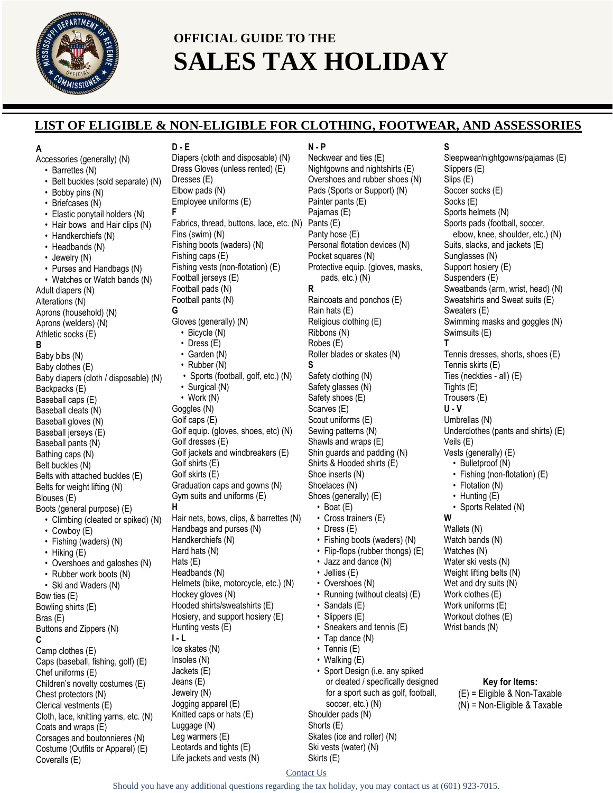

## **OFFICIAL GUIDE TO THE SALES TAX HOLIDAY**

## **LIST OF ELIGIBLE & NON-ELIGIBLE FOR CLOTHING, FOOTWEAR, AND ASSESSORIES**

#### **A**

Accessories (generally) (N)

- Barrettes (N)
- Belt buckles (sold separate) (N)
- Bobby pins (N)
- Briefcases (N)
- Elastic ponytail holders (N)
- Hair bows and Hair clips (N) • Handkerchiefs (N) • Headbands (N) • Jewelry (N) • Purses and Handbags (N) • Watches or Watch bands (N) Adult diapers (N) Alterations (N) Aprons (household) (N) Aprons (welders) (N) Athletic socks (E) **B** Baby bibs (N) Baby clothes (E) Baby diapers (cloth / disposable) (N) Backpacks (E) Baseball caps (E) Baseball cleats (N) Baseball gloves (N) Baseball jerseys (E) Baseball pants (N) Bathing caps (N) Belt buckles (N) Belts with attached buckles (E) Belts for weight lifting (N) Blouses (E) Boots (general purpose) (E) • Climbing (cleated or spiked) (N) • Cowboy (E) • Fishing (waders) (N) • Hiking (E) • Overshoes and galoshes (N) • Rubber work boots (N) • Ski and Waders (N) Bow ties (E) Bowling shirts (E) Bras (E) Buttons and Zippers (N) **C** Camp clothes (E) Caps (baseball, fishing, golf) (E) Chef uniforms (E) Children's novelty costumes (E) Chest protectors (N) Clerical vestments (E)

Cloth, lace, knitting yarns, etc. (N)

Corsages and boutonnieres (N) Costume (Outfits or Apparel) (E)

Coats and wraps (E)

Coveralls (E)

**D - E** Diapers (cloth and disposable) (N) Dress Gloves (unless rented) (E) Dresses (E) Elbow pads (N) Employee uniforms (E) **F** Fabrics, thread, buttons, lace, etc. (N) Fins (swim) (N) Fishing boots (waders) (N) Fishing caps (E) Fishing vests (non-flotation) (E) Football jerseys (E) Football pads (N) Football pants (N) **G** Gloves (generally) (N) • Bicycle (N) • Dress (E) • Garden (N) • Rubber (N) • Sports (football, golf, etc.) (N) • Surgical (N) • Work (N) Goggles (N) Golf caps (E) Golf equip. (gloves, shoes, etc) (N) Golf dresses (E) Golf jackets and windbreakers (E) Golf shirts (E) Golf skirts (E) Graduation caps and gowns (N) Gym suits and uniforms (E) **H** Hair nets, bows, clips, & barrettes (N) Handbags and purses (N) Handkerchiefs (N) Hard hats (N) Hats (E) Headbands (N) Helmets (bike, motorcycle, etc.) (N) Hockey gloves (N) Hooded shirts/sweatshirts (E) Hosiery, and support hosiery (E) Hunting vests (E) **I - L** Ice skates (N) Insoles (N) Jackets (E) Jeans (E) Jewelry (N) Jogging apparel (E) Knitted caps or hats (E) Luggage (N) Leg warmers (E)

Leotards and tights (E) Life jackets and vests (N)

#### **N - P**

Neckwear and ties (E) Nightgowns and nightshirts (E) Overshoes and rubber shoes (N) Pads (Sports or Support) (N) Painter pants (E) Pajamas (E) Pants (E) Panty hose (E) Personal flotation devices (N) Pocket squares (N) Protective equip. (gloves, masks, pads, etc.) (N) **R** Raincoats and ponchos (E) Rain hats (E) Religious clothing (E) Ribbons (N) Robes (E) Roller blades or skates (N) **S** Safety clothing (N) Safety glasses (N) Safety shoes (E) Scarves (E) Scout uniforms (E) Sewing patterns (N) Shawls and wraps (E) Shin guards and padding (N) Shirts & Hooded shirts (E) Shoe inserts (N) Shoelaces (N) Shoes (generally) (E) • Boat  $(E)$ • Cross trainers (E) • Dress (E) • Fishing boots (waders) (N) • Flip-flops (rubber thongs) (E) • Jazz and dance (N) • Jellies (E) • Overshoes (N) • Running (without cleats) (E) • Sandals (E) • Slippers (E) • Sneakers and tennis (E) • Tap dance (N) • Tennis (E) • Walking (E) • Sport Design (i.e. any spiked or cleated / specifically designed for a sport such as golf, football, soccer, etc.) (N) Shoulder pads (N) Shorts (E) Skates (ice and roller) (N) Ski vests (water) (N)

#### **S**

Sleepwear/nightgowns/pajamas (E) Slippers (E) Slips (E) Soccer socks (E) Socks (E) Sports helmets (N) Sports pads (football, soccer, elbow, knee, shoulder, etc.) (N) Suits, slacks, and jackets (E) Sunglasses (N) Support hosiery (E) Suspenders (E) Sweatbands (arm, wrist, head) (N) Sweatshirts and Sweat suits (E) Sweaters (E) Swimming masks and goggles (N) Swimsuits (E) **T** Tennis dresses, shorts, shoes (E) Tennis skirts (E) Ties (neckties - all) (E) Tights (E) Trousers (E) **U - V** Umbrellas (N) Underclothes (pants and shirts) (E) Veils (E) Vests (generally) (E) • Bulletproof (N) • Fishing (non-flotation) (E) Flotation (N) • Hunting (E) Sports Related (N) **W** Wallets (N) Watch bands (N) Watches (N) Water ski vests (N) Weight lifting belts (N) Wet and dry suits (N) Work clothes (E) Work uniforms (E) Workout clothes (E) Wrist bands (N) **Key for Items:** (E) = Eligible & Non-Taxable (N) = Non-Eligible & Taxable

Contact Us

Skirts (E)